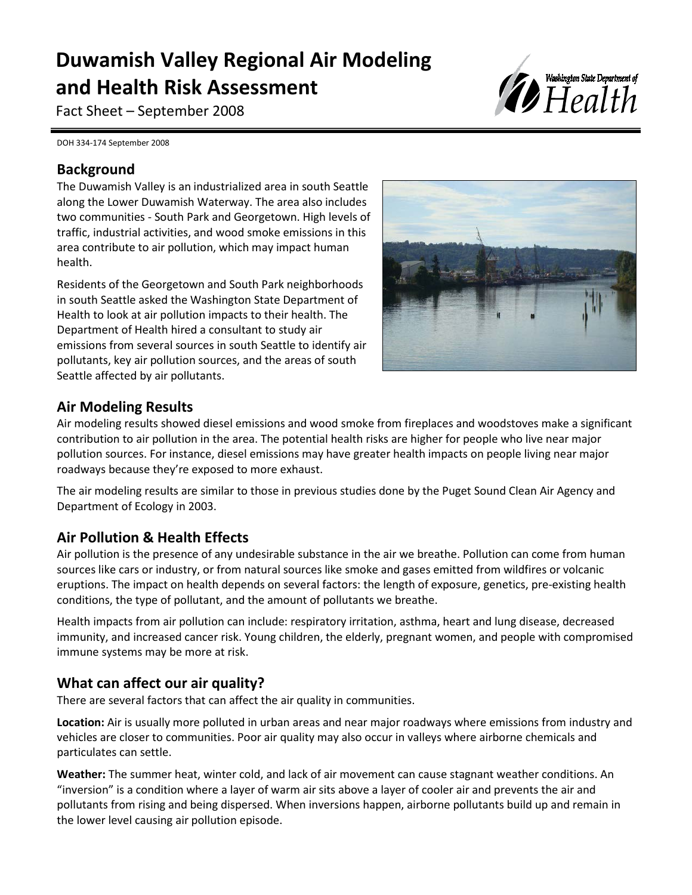# **Duwamish Valley Regional Air Modeling and Health Risk Assessment**

Fact Sheet – September 2008



DOH 334-174 September 2008

## **Background**

The Duwamish Valley is an industrialized area in south Seattle along the Lower Duwamish Waterway. The area also includes two communities - South Park and Georgetown. High levels of traffic, industrial activities, and wood smoke emissions in this area contribute to air pollution, which may impact human health.

Residents of the Georgetown and South Park neighborhoods in south Seattle asked the Washington State Department of Health to look at air pollution impacts to their health. The Department of Health hired a consultant to study air emissions from several sources in south Seattle to identify air pollutants, key air pollution sources, and the areas of south Seattle affected by air pollutants.



#### **Air Modeling Results**

Air modeling results showed diesel emissions and wood smoke from fireplaces and woodstoves make a significant contribution to air pollution in the area. The potential health risks are higher for people who live near major pollution sources. For instance, diesel emissions may have greater health impacts on people living near major roadways because they're exposed to more exhaust.

Ī

The air modeling results are similar to those in previous studies done by the Puget Sound Clean Air Agency and Department of Ecology in 2003.

## **Air Pollution & Health Effects**

Air pollution is the presence of any undesirable substance in the air we breathe. Pollution can come from human sources like cars or industry, or from natural sources like smoke and gases emitted from wildfires or volcanic eruptions. The impact on health depends on several factors: the length of exposure, genetics, pre-existing health conditions, the type of pollutant, and the amount of pollutants we breathe.

Health impacts from air pollution can include: respiratory irritation, asthma, heart and lung disease, decreased immunity, and increased cancer risk. Young children, the elderly, pregnant women, and people with compromised immune systems may be more at risk.

## **What can affect our air quality?**

There are several factors that can affect the air quality in communities.

**Location:** Air is usually more polluted in urban areas and near major roadways where emissions from industry and vehicles are closer to communities. Poor air quality may also occur in valleys where airborne chemicals and particulates can settle.

**Weather:** The summer heat, winter cold, and lack of air movement can cause stagnant weather conditions. An "inversion" is a condition where a layer of warm air sits above a layer of cooler air and prevents the air and pollutants from rising and being dispersed. When inversions happen, airborne pollutants build up and remain in the lower level causing air pollution episode.